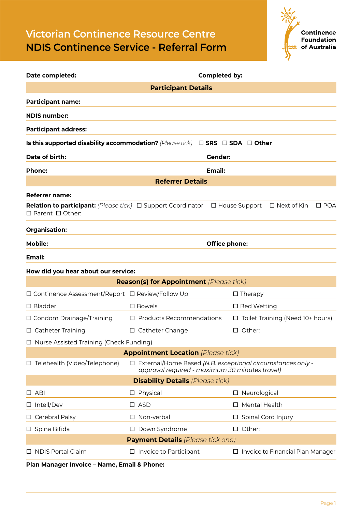## **Victorian Continence Resource Centre NDIS Continence Service - Referral Form**



| Date completed:                                                                              | <b>Completed by:</b>                                                                                                |                           |                                         |  |  |
|----------------------------------------------------------------------------------------------|---------------------------------------------------------------------------------------------------------------------|---------------------------|-----------------------------------------|--|--|
| <b>Participant Details</b>                                                                   |                                                                                                                     |                           |                                         |  |  |
| <b>Participant name:</b>                                                                     |                                                                                                                     |                           |                                         |  |  |
| <b>NDIS number:</b>                                                                          |                                                                                                                     |                           |                                         |  |  |
| <b>Participant address:</b>                                                                  |                                                                                                                     |                           |                                         |  |  |
| Is this supported disability accommodation? (Please tick) $\Box$ SRS $\Box$ SDA $\Box$ Other |                                                                                                                     |                           |                                         |  |  |
| Date of birth:                                                                               |                                                                                                                     | Gender:                   |                                         |  |  |
| <b>Phone:</b>                                                                                |                                                                                                                     | <b>Email:</b>             |                                         |  |  |
|                                                                                              | <b>Referrer Details</b>                                                                                             |                           |                                         |  |  |
| <b>Referrer name:</b>                                                                        |                                                                                                                     |                           |                                         |  |  |
| <b>Relation to participant:</b> (Please tick) □ Support Coordinator<br>□ Parent □ Other:     |                                                                                                                     | □ House Support           | $\square$ POA<br>□ Next of Kin          |  |  |
| Organisation:                                                                                |                                                                                                                     |                           |                                         |  |  |
| <b>Mobile:</b>                                                                               | <b>Office phone:</b>                                                                                                |                           |                                         |  |  |
| <b>Email:</b>                                                                                |                                                                                                                     |                           |                                         |  |  |
| How did you hear about our service:                                                          |                                                                                                                     |                           |                                         |  |  |
|                                                                                              | <b>Reason(s) for Appointment</b> (Please tick)                                                                      |                           |                                         |  |  |
| □ Continence Assessment/Report □ Review/Follow Up                                            |                                                                                                                     | $\Box$ Therapy            |                                         |  |  |
| $\square$ Bladder                                                                            | $\square$ Bowels                                                                                                    | □ Bed Wetting             |                                         |  |  |
| $\Box$ Condom Drainage/Training                                                              | $\Box$ Products Recommendations                                                                                     |                           | $\Box$ Toilet Training (Need 10+ hours) |  |  |
| □ Catheter Training                                                                          | $\Box$ Catheter Change                                                                                              | $\Box$ Other:             |                                         |  |  |
| □ Nurse Assisted Training (Check Funding)                                                    |                                                                                                                     |                           |                                         |  |  |
| <b>Appointment Location (Please tick)</b>                                                    |                                                                                                                     |                           |                                         |  |  |
| □ Telehealth (Video/Telephone)                                                               | $\Box$ External/Home Based (N.B. exceptional circumstances only -<br>approval required - maximum 30 minutes travel) |                           |                                         |  |  |
|                                                                                              | <b>Disability Details (Please tick)</b>                                                                             |                           |                                         |  |  |
| $\Box$ ABI                                                                                   | $\square$ Physical                                                                                                  | □ Neurological            |                                         |  |  |
| □ Intell/Dev                                                                                 | $\square$ ASD                                                                                                       | □ Mental Health           |                                         |  |  |
| □ Cerebral Palsy                                                                             | $\Box$ Non-verbal                                                                                                   | $\Box$ Spinal Cord Injury |                                         |  |  |
| $\square$ Spina Bifida                                                                       | Down Syndrome<br>Ц                                                                                                  | $\Box$ Other:             |                                         |  |  |
| <b>Payment Details</b> (Please tick one)                                                     |                                                                                                                     |                           |                                         |  |  |
| $\Box$ NDIS Portal Claim                                                                     | $\Box$ Invoice to Participant                                                                                       | ப                         | Invoice to Financial Plan Manager       |  |  |

## **Plan Manager Invoice – Name, Email & Phone:**